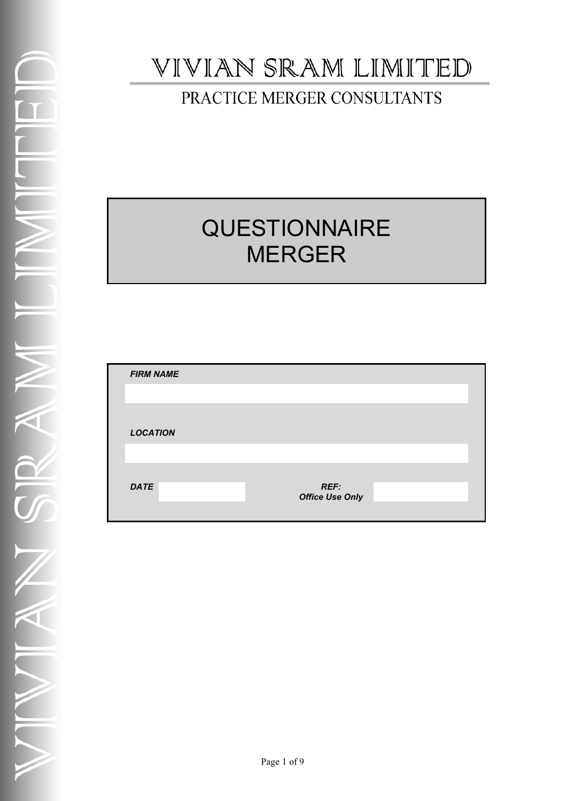# VIVIAN SRAM LIMITED

## PRACTICE MERGER CONSULTANTS

# **QUESTIONNAIRE** MERGER

| <b>FIRM NAME</b> |                                       |  |
|------------------|---------------------------------------|--|
|                  |                                       |  |
|                  |                                       |  |
| <b>LOCATION</b>  |                                       |  |
|                  |                                       |  |
|                  |                                       |  |
| <b>DATE</b>      | <b>REF:</b><br><b>Office Use Only</b> |  |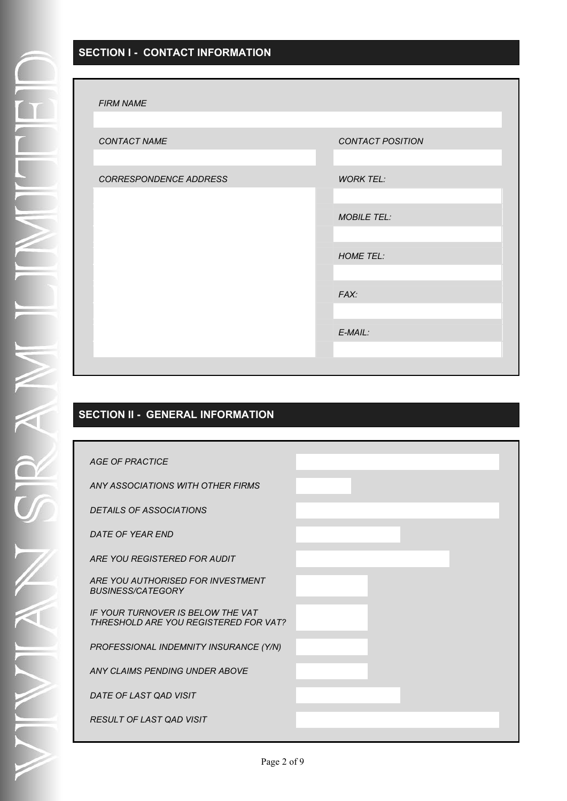#### **SECTION I - CONTACT INFORMATION**

#### *FIRM NAME*

| , ,,,,,,,,,,,,,,,      |                    |
|------------------------|--------------------|
|                        |                    |
| CONTACT NAME           | CONTACT POSITION   |
|                        |                    |
| CORRESPONDENCE ADDRESS | <b>WORK TEL:</b>   |
|                        |                    |
|                        | <b>MOBILE TEL:</b> |
|                        |                    |
|                        | <b>HOME TEL:</b>   |
|                        |                    |
|                        | FAX:               |
|                        |                    |
|                        | $E$ -MAIL:         |
|                        |                    |
|                        |                    |

### **SECTION II - GENERAL INFORMATION**

| <b>AGE OF PRACTICE</b>                                                     |  |
|----------------------------------------------------------------------------|--|
| ANY ASSOCIATIONS WITH OTHER FIRMS                                          |  |
| <b>DETAILS OF ASSOCIATIONS</b>                                             |  |
| DATE OF YEAR END                                                           |  |
| ARE YOU REGISTERED FOR AUDIT                                               |  |
| ARE YOU AUTHORISED FOR INVESTMENT<br><b>BUSINESS/CATEGORY</b>              |  |
| IF YOUR TURNOVER IS BELOW THE VAT<br>THRESHOLD ARE YOU REGISTERED FOR VAT? |  |
| PROFESSIONAL INDEMNITY INSURANCE (Y/N)                                     |  |
| ANY CLAIMS PENDING UNDER ABOVE                                             |  |
| DATE OF LAST QAD VISIT                                                     |  |
| RESULT OF LAST QAD VISIT                                                   |  |
|                                                                            |  |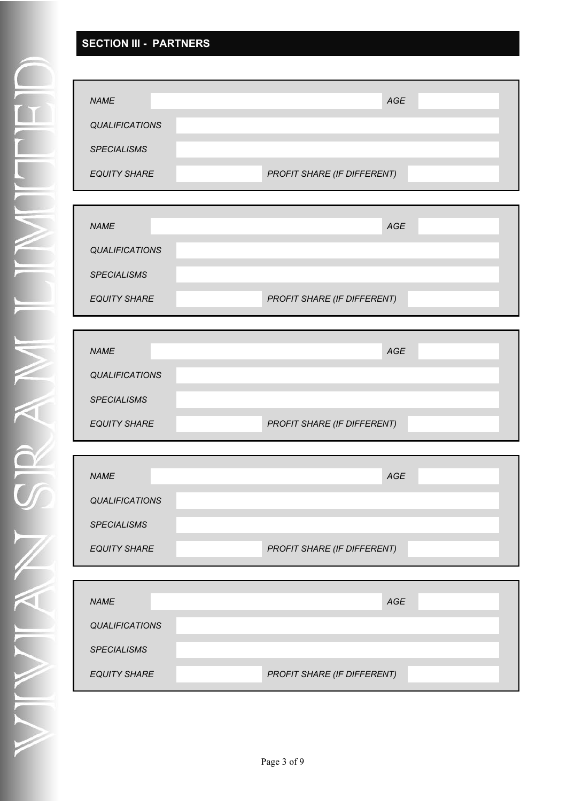## **SECTION III - PARTNERS**

| <b>NAME</b>           | <b>AGE</b>                  |  |
|-----------------------|-----------------------------|--|
| <b>QUALIFICATIONS</b> |                             |  |
| <b>SPECIALISMS</b>    |                             |  |
| <b>EQUITY SHARE</b>   | PROFIT SHARE (IF DIFFERENT) |  |

| <b>NAME</b>           | <b>AGE</b>                  |
|-----------------------|-----------------------------|
| <b>QUALIFICATIONS</b> |                             |
| <b>SPECIALISMS</b>    |                             |
|                       |                             |
| <b>EQUITY SHARE</b>   | PROFIT SHARE (IF DIFFERENT) |
|                       |                             |

| <b>NAME</b>           | AGE                         |
|-----------------------|-----------------------------|
| <b>QUALIFICATIONS</b> |                             |
| <b>SPECIALISMS</b>    |                             |
| <b>EQUITY SHARE</b>   | PROFIT SHARE (IF DIFFERENT) |

| <b>NAME</b>           |                             | <b>AGE</b> |  |
|-----------------------|-----------------------------|------------|--|
| <b>QUALIFICATIONS</b> |                             |            |  |
| <b>SPECIALISMS</b>    |                             |            |  |
| <b>EQUITY SHARE</b>   | PROFIT SHARE (IF DIFFERENT) |            |  |

| <b>NAME</b>           | <b>AGE</b>                  |
|-----------------------|-----------------------------|
| <b>QUALIFICATIONS</b> |                             |
| <b>SPECIALISMS</b>    |                             |
| <b>EQUITY SHARE</b>   | PROFIT SHARE (IF DIFFERENT) |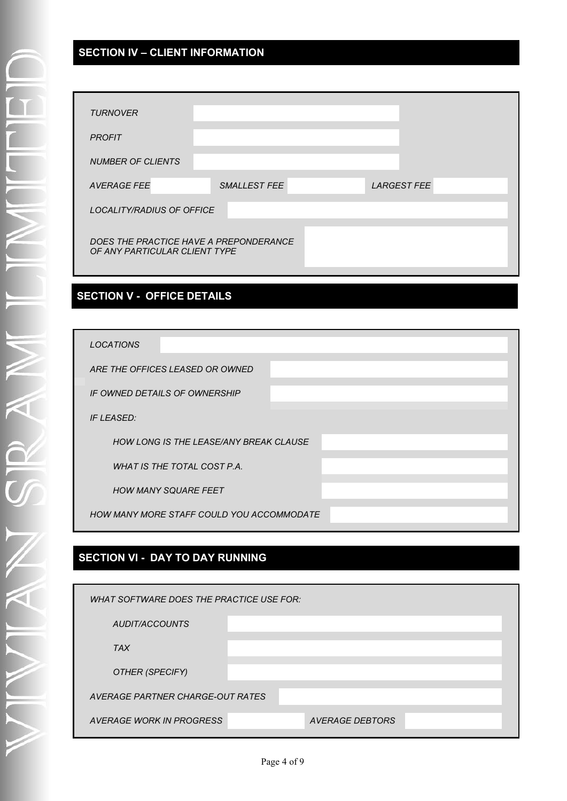## **SECTION IV – CLIENT INFORMATION**

| <b>TURNOVER</b>                                                         |              |  |                    |  |
|-------------------------------------------------------------------------|--------------|--|--------------------|--|
| <b>PROFIT</b>                                                           |              |  |                    |  |
| <b>NUMBER OF CLIENTS</b>                                                |              |  |                    |  |
| <b>AVERAGE FEE</b>                                                      | SMALLEST FEE |  | <b>LARGEST FEE</b> |  |
| <b>LOCALITY/RADIUS OF OFFICE</b>                                        |              |  |                    |  |
| DOES THE PRACTICE HAVE A PREPONDERANCE<br>OF ANY PARTICULAR CLIENT TYPE |              |  |                    |  |

#### **SECTION V - OFFICE DETAILS**

| <b>LOCATIONS</b>                              |  |
|-----------------------------------------------|--|
| ARE THE OFFICES LEASED OR OWNED               |  |
| IF OWNED DETAILS OF OWNERSHIP                 |  |
| <b>IF LEASED:</b>                             |  |
| <b>HOW LONG IS THE LEASE/ANY BREAK CLAUSE</b> |  |
| WHAT IS THE TOTAL COST P.A.                   |  |
| <b>HOW MANY SQUARE FEET</b>                   |  |
| HOW MANY MORE STAFF COULD YOU ACCOMMODATE     |  |
|                                               |  |

#### **SECTION VI - DAY TO DAY RUNNING**

| WHAT SOFTWARE DOES THE PRACTICE USE FOR: |  |                 |  |  |
|------------------------------------------|--|-----------------|--|--|
| AUDIT/ACCOUNTS                           |  |                 |  |  |
| <b>TAX</b>                               |  |                 |  |  |
| OTHER (SPECIFY)                          |  |                 |  |  |
| AVERAGE PARTNER CHARGE-OUT RATES         |  |                 |  |  |
| AVERAGE WORK IN PROGRESS                 |  | AVERAGE DEBTORS |  |  |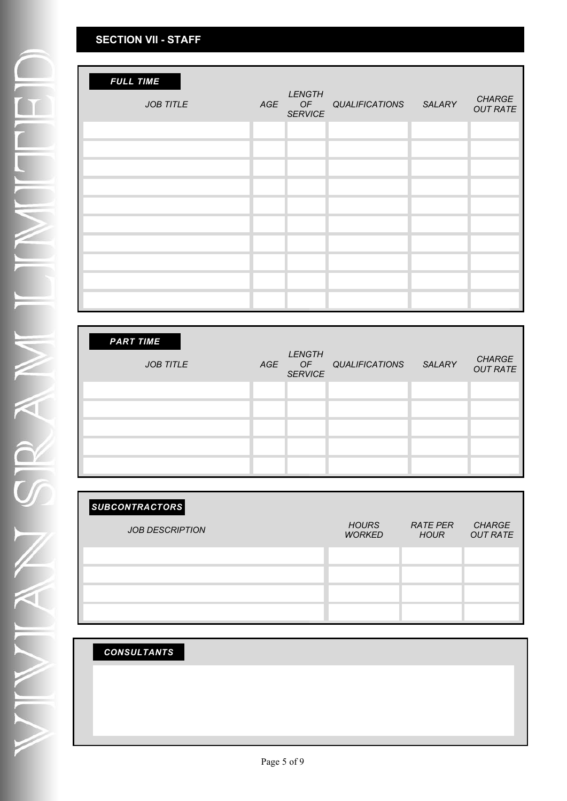## **SECTION VII - STAFF**

| <b>FULL TIME</b><br><b>JOB TITLE</b> | AGE | <b>LENGTH</b><br>OF<br><b>SERVICE</b> | QUALIFICATIONS SALARY | <b>CHARGE</b><br><b>OUT RATE</b> |
|--------------------------------------|-----|---------------------------------------|-----------------------|----------------------------------|
|                                      |     |                                       |                       |                                  |
|                                      |     |                                       |                       |                                  |
|                                      |     |                                       |                       |                                  |
|                                      |     |                                       |                       |                                  |
|                                      |     |                                       |                       |                                  |
|                                      |     |                                       |                       |                                  |
|                                      |     |                                       |                       |                                  |
|                                      |     |                                       |                       |                                  |
|                                      |     |                                       |                       |                                  |
|                                      |     |                                       |                       |                                  |

| <b>PART TIME</b> |     |                                       |                       |        |                                  |
|------------------|-----|---------------------------------------|-----------------------|--------|----------------------------------|
| <b>JOB TITLE</b> | AGE | <b>LENGTH</b><br>OF<br><b>SERVICE</b> | <b>QUALIFICATIONS</b> | SALARY | <b>CHARGE</b><br><b>OUT RATE</b> |
|                  |     |                                       |                       |        |                                  |
|                  |     |                                       |                       |        |                                  |
|                  |     |                                       |                       |        |                                  |
|                  |     |                                       |                       |        |                                  |
|                  |     |                                       |                       |        |                                  |

| SUBCONTRACTORS         |                               |                                |                                  |
|------------------------|-------------------------------|--------------------------------|----------------------------------|
| <b>JOB DESCRIPTION</b> | <b>HOURS</b><br><b>WORKED</b> | <b>RATE PER</b><br><b>HOUR</b> | <b>CHARGE</b><br><b>OUT RATE</b> |
|                        |                               |                                |                                  |
|                        |                               |                                |                                  |
|                        |                               |                                |                                  |
|                        |                               |                                |                                  |

| <b>CONSULTANTS</b> |  |  |  |
|--------------------|--|--|--|
|                    |  |  |  |
|                    |  |  |  |
|                    |  |  |  |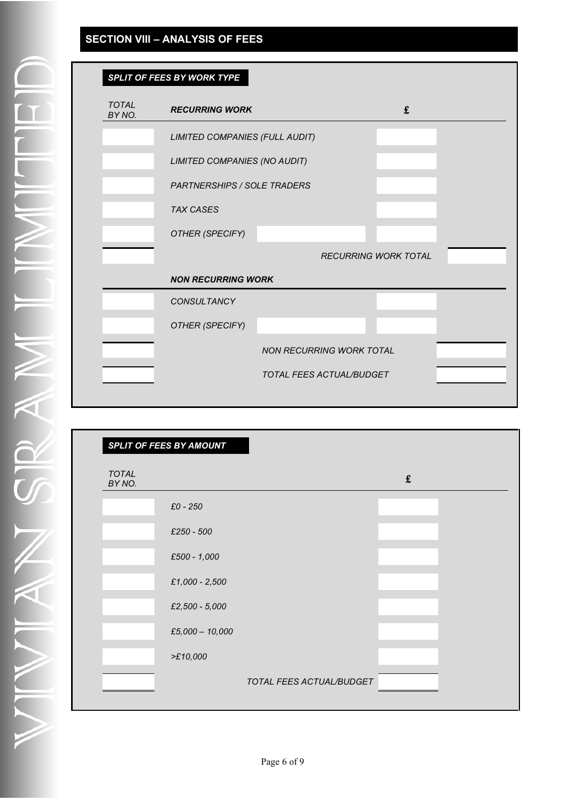## **SECTION VIII – ANALYSIS OF FEES**

| SPLIT OF FEES BY WORK TYPE |
|----------------------------|
|                            |
|                            |

| <b>TOTAL</b><br>BY NO. | <b>RECURRING WORK</b>              |                                 | $\mathbf f$                 |  |
|------------------------|------------------------------------|---------------------------------|-----------------------------|--|
|                        | LIMITED COMPANIES (FULL AUDIT)     |                                 |                             |  |
|                        | LIMITED COMPANIES (NO AUDIT)       |                                 |                             |  |
|                        | <b>PARTNERSHIPS / SOLE TRADERS</b> |                                 |                             |  |
|                        | <b>TAX CASES</b>                   |                                 |                             |  |
|                        | OTHER (SPECIFY)                    |                                 |                             |  |
|                        |                                    |                                 | <b>RECURRING WORK TOTAL</b> |  |
|                        | <b>NON RECURRING WORK</b>          |                                 |                             |  |
|                        | <b>CONSULTANCY</b>                 |                                 |                             |  |
|                        | OTHER (SPECIFY)                    |                                 |                             |  |
|                        |                                    | <b>NON RECURRING WORK TOTAL</b> |                             |  |
|                        |                                    | TOTAL FEES ACTUAL/BUDGET        |                             |  |

| TOTAL<br>BY NO. |                   | $\pmb{\mathfrak{t}}$ |  |
|-----------------|-------------------|----------------------|--|
|                 | £0 - 250          |                      |  |
|                 | £250 - 500        |                      |  |
|                 | £500 - 1,000      |                      |  |
|                 | £1,000 - 2,500    |                      |  |
|                 | £2,500 - 5,000    |                      |  |
|                 | $£5,000 - 10,000$ |                      |  |
|                 | >E10,000          |                      |  |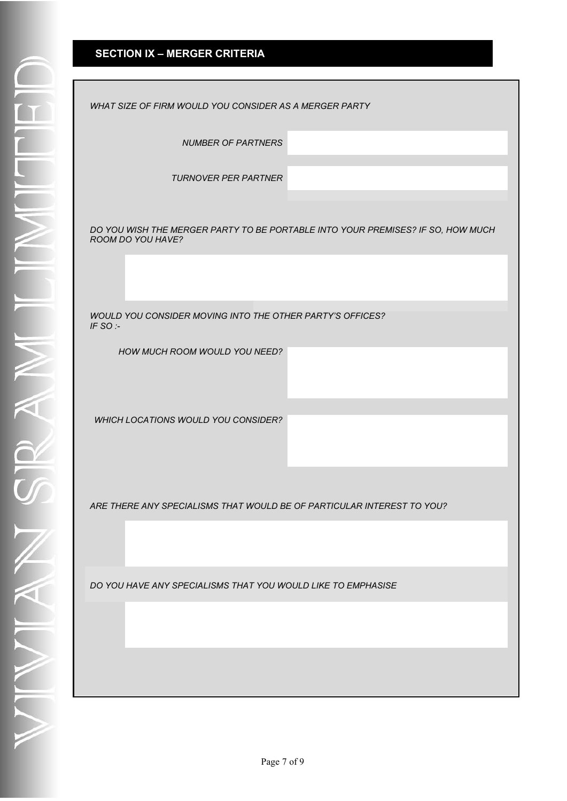## **SECTION IX – MERGER CRITERIA**

| WHAT SIZE OF FIRM WOULD YOU CONSIDER AS A MERGER PARTY                                               |
|------------------------------------------------------------------------------------------------------|
| <b>NUMBER OF PARTNERS</b>                                                                            |
| <b>TURNOVER PER PARTNER</b>                                                                          |
| DO YOU WISH THE MERGER PARTY TO BE PORTABLE INTO YOUR PREMISES? IF SO, HOW MUCH<br>ROOM DO YOU HAVE? |
|                                                                                                      |
| WOULD YOU CONSIDER MOVING INTO THE OTHER PARTY'S OFFICES?<br>IF SO:-                                 |
| HOW MUCH ROOM WOULD YOU NEED?                                                                        |
| WHICH LOCATIONS WOULD YOU CONSIDER?                                                                  |
| ARE THERE ANY SPECIALISMS THAT WOULD BE OF PARTICULAR INTEREST TO YOU?                               |
|                                                                                                      |
| DO YOU HAVE ANY SPECIALISMS THAT YOU WOULD LIKE TO EMPHASISE                                         |
|                                                                                                      |
|                                                                                                      |
|                                                                                                      |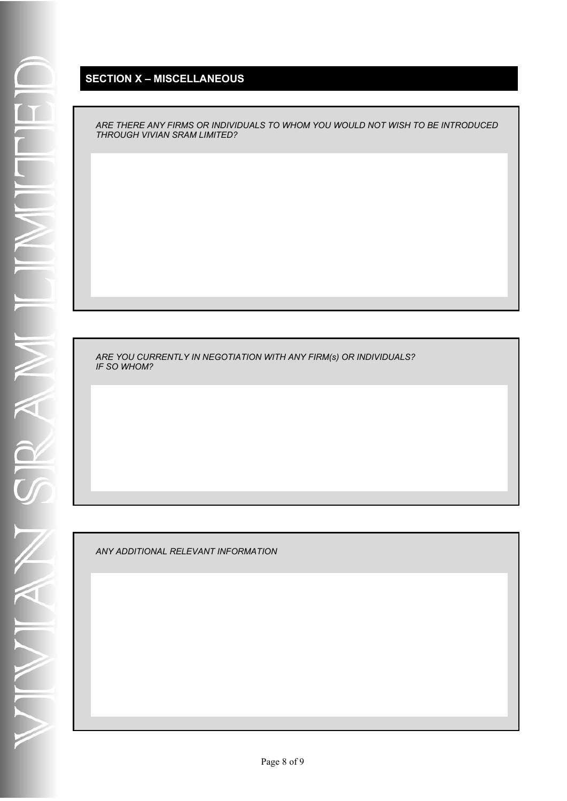### **SECTION X – MISCELLANEOUS**

*ARE THERE ANY FIRMS OR INDIVIDUALS TO WHOM YOU WOULD NOT WISH TO BE INTRODUCED THROUGH VIVIAN SRAM LIMITED?*

*ARE YOU CURRENTLY IN NEGOTIATION WITH ANY FIRM(s) OR INDIVIDUALS? IF SO WHOM?*

*ANY ADDITIONAL RELEVANT INFORMATION*